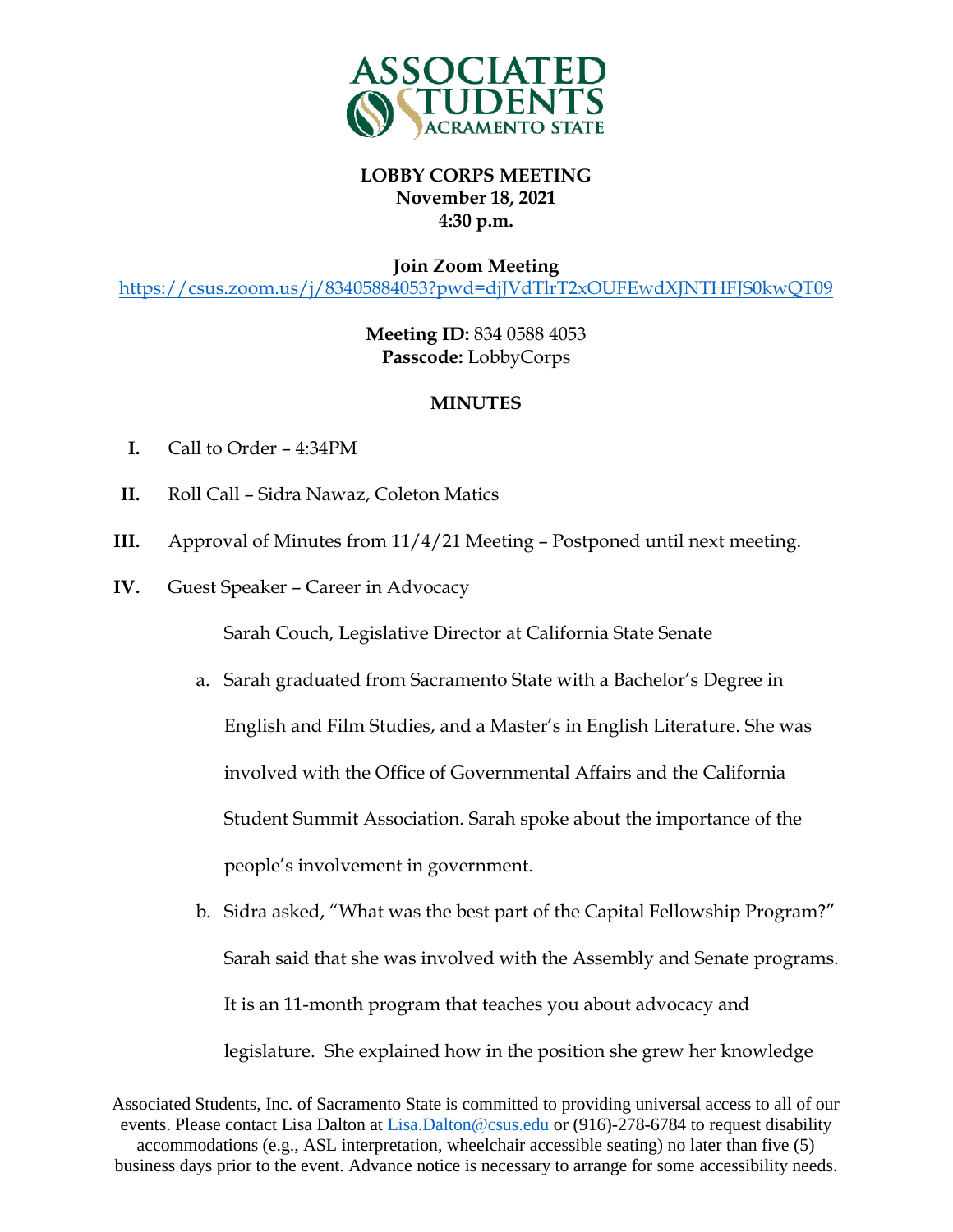

**Join Zoom Meeting**

<https://csus.zoom.us/j/83405884053?pwd=djJVdTlrT2xOUFEwdXJNTHFJS0kwQT09>

**Meeting ID:** 834 0588 4053 **Passcode:** LobbyCorps

## **MINUTES**

- **I.** Call to Order 4:34PM
- **II.** Roll Call Sidra Nawaz, Coleton Matics
- **III.** Approval of Minutes from 11/4/21 Meeting Postponed until next meeting.
- **IV.** Guest Speaker Career in Advocacy

Sarah Couch, Legislative Director at California State Senate

- a. Sarah graduated from Sacramento State with a Bachelor's Degree in English and Film Studies, and a Master's in English Literature. She was involved with the Office of Governmental Affairs and the California Student Summit Association. Sarah spoke about the importance of the people's involvement in government.
- b. Sidra asked, "What was the best part of the Capital Fellowship Program?" Sarah said that she was involved with the Assembly and Senate programs. It is an 11-month program that teaches you about advocacy and legislature. She explained how in the position she grew her knowledge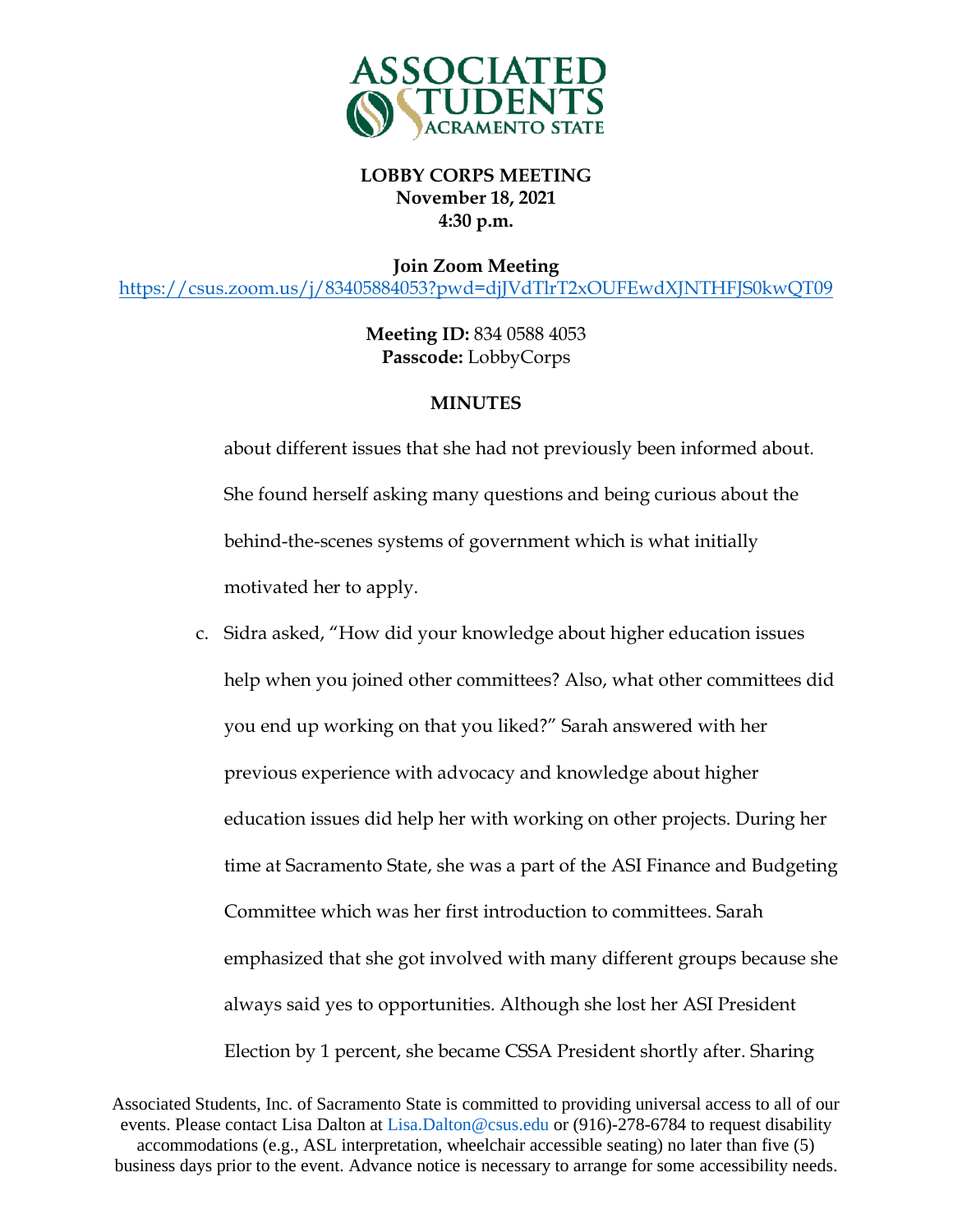

**Join Zoom Meeting**

<https://csus.zoom.us/j/83405884053?pwd=djJVdTlrT2xOUFEwdXJNTHFJS0kwQT09>

**Meeting ID:** 834 0588 4053 **Passcode:** LobbyCorps

#### **MINUTES**

about different issues that she had not previously been informed about. She found herself asking many questions and being curious about the behind-the-scenes systems of government which is what initially motivated her to apply.

c. Sidra asked, "How did your knowledge about higher education issues help when you joined other committees? Also, what other committees did you end up working on that you liked?" Sarah answered with her previous experience with advocacy and knowledge about higher education issues did help her with working on other projects. During her time at Sacramento State, she was a part of the ASI Finance and Budgeting Committee which was her first introduction to committees. Sarah emphasized that she got involved with many different groups because she always said yes to opportunities. Although she lost her ASI President Election by 1 percent, she became CSSA President shortly after. Sharing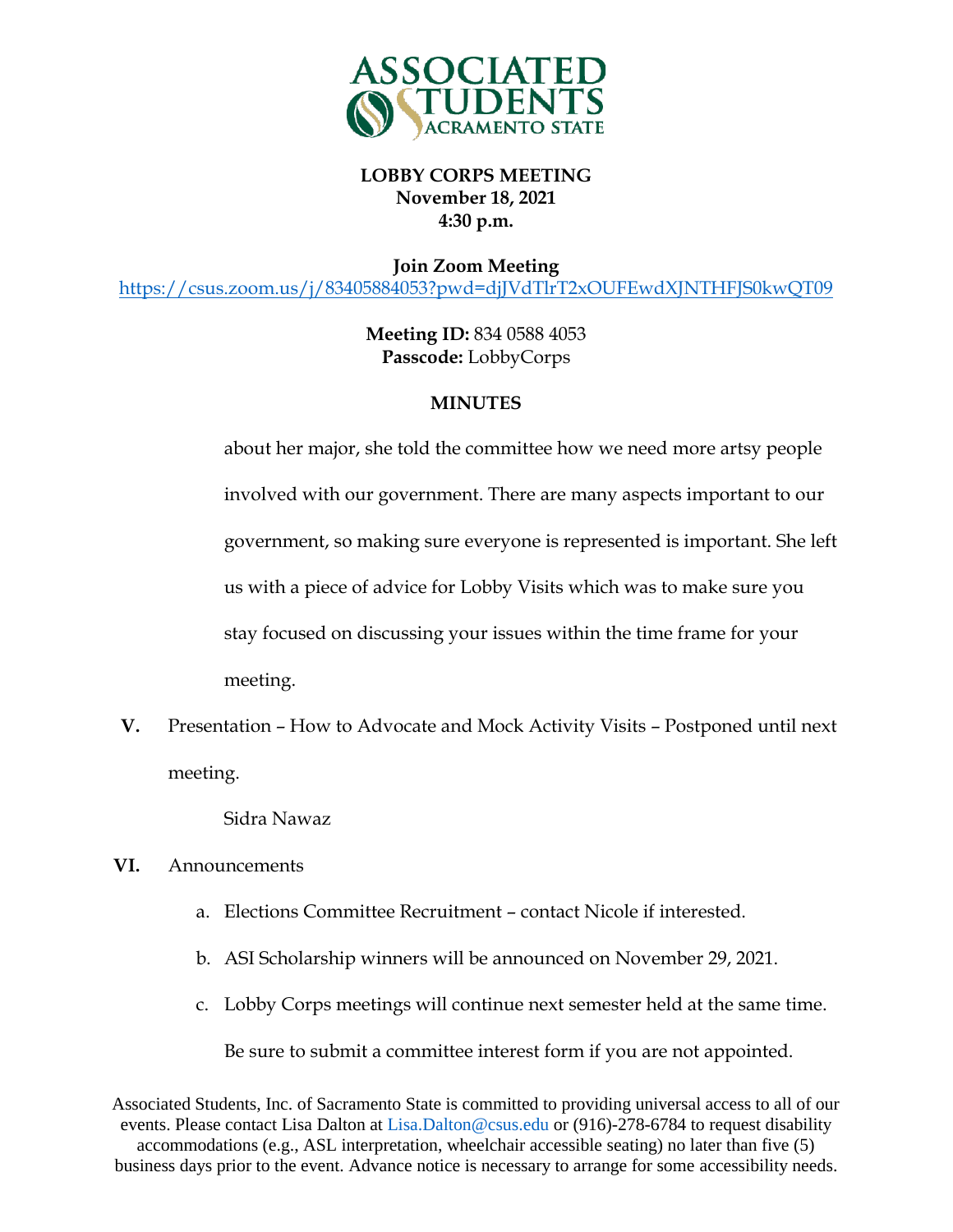

**Join Zoom Meeting**

<https://csus.zoom.us/j/83405884053?pwd=djJVdTlrT2xOUFEwdXJNTHFJS0kwQT09>

**Meeting ID:** 834 0588 4053 **Passcode:** LobbyCorps

## **MINUTES**

about her major, she told the committee how we need more artsy people involved with our government. There are many aspects important to our government, so making sure everyone is represented is important. She left us with a piece of advice for Lobby Visits which was to make sure you stay focused on discussing your issues within the time frame for your meeting.

**V.** Presentation – How to Advocate and Mock Activity Visits – Postponed until next meeting.

Sidra Nawaz

- **VI.** Announcements
	- a. Elections Committee Recruitment contact Nicole if interested.
	- b. ASI Scholarship winners will be announced on November 29, 2021.
	- c. Lobby Corps meetings will continue next semester held at the same time.

Be sure to submit a committee interest form if you are not appointed.